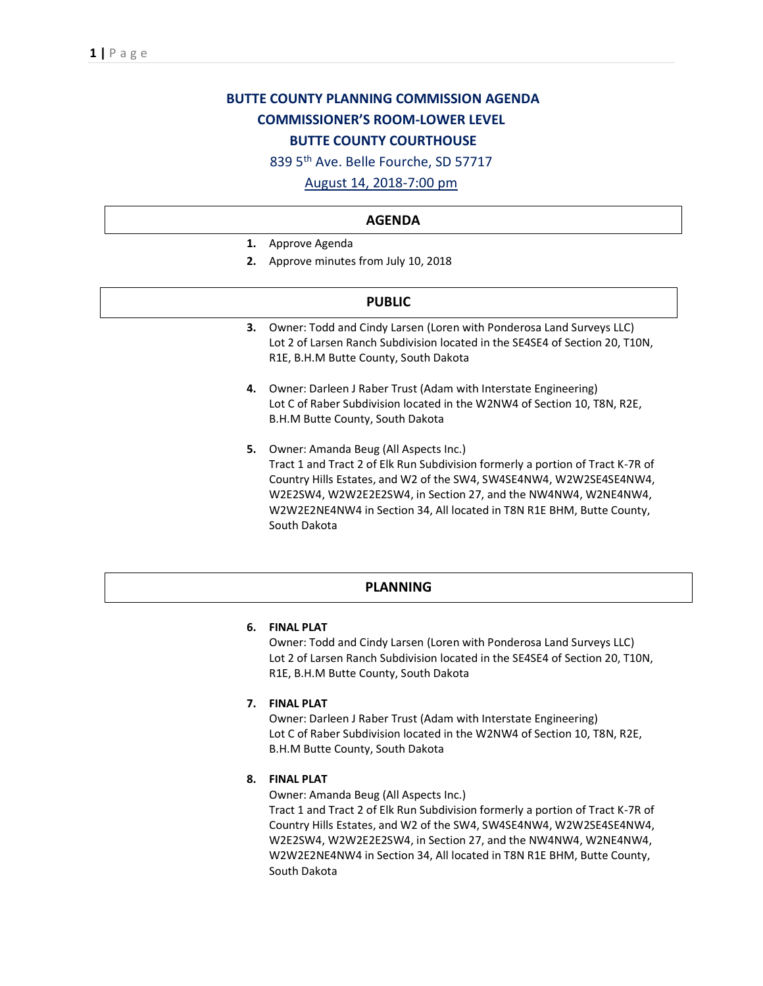# **BUTTE COUNTY PLANNING COMMISSION AGENDA COMMISSIONER'S ROOM-LOWER LEVEL BUTTE COUNTY COURTHOUSE**

839 5th Ave. Belle Fourche, SD 57717

August 14, 2018-7:00 pm

#### **AGENDA**

- **1.** Approve Agenda
- **2.** Approve minutes from July 10, 2018

#### **PUBLIC**

- **3.** Owner: Todd and Cindy Larsen (Loren with Ponderosa Land Surveys LLC) Lot 2 of Larsen Ranch Subdivision located in the SE4SE4 of Section 20, T10N, R1E, B.H.M Butte County, South Dakota
- **4.** Owner: Darleen J Raber Trust (Adam with Interstate Engineering) Lot C of Raber Subdivision located in the W2NW4 of Section 10, T8N, R2E, B.H.M Butte County, South Dakota
- **5.** Owner: Amanda Beug (All Aspects Inc.) Tract 1 and Tract 2 of Elk Run Subdivision formerly a portion of Tract K-7R of Country Hills Estates, and W2 of the SW4, SW4SE4NW4, W2W2SE4SE4NW4, W2E2SW4, W2W2E2E2SW4, in Section 27, and the NW4NW4, W2NE4NW4, W2W2E2NE4NW4 in Section 34, All located in T8N R1E BHM, Butte County, South Dakota

#### **PLANNING**

#### **6. FINAL PLAT**

Owner: Todd and Cindy Larsen (Loren with Ponderosa Land Surveys LLC) Lot 2 of Larsen Ranch Subdivision located in the SE4SE4 of Section 20, T10N, R1E, B.H.M Butte County, South Dakota

#### **7. FINAL PLAT**

Owner: Darleen J Raber Trust (Adam with Interstate Engineering) Lot C of Raber Subdivision located in the W2NW4 of Section 10, T8N, R2E, B.H.M Butte County, South Dakota

### **8. FINAL PLAT**

Owner: Amanda Beug (All Aspects Inc.)

Tract 1 and Tract 2 of Elk Run Subdivision formerly a portion of Tract K-7R of Country Hills Estates, and W2 of the SW4, SW4SE4NW4, W2W2SE4SE4NW4, W2E2SW4, W2W2E2E2SW4, in Section 27, and the NW4NW4, W2NE4NW4, W2W2E2NE4NW4 in Section 34, All located in T8N R1E BHM, Butte County, South Dakota